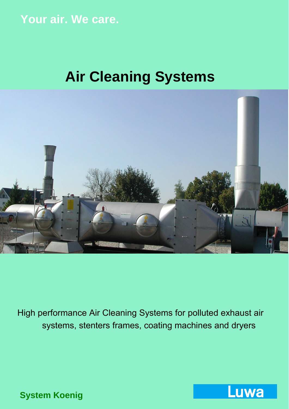## **Your air. We care.**

# **Air Cleaning Systems**



High performance Air Cleaning Systems for polluted exhaust air systems, stenters frames, coating machines and dryers

**System Koenig**